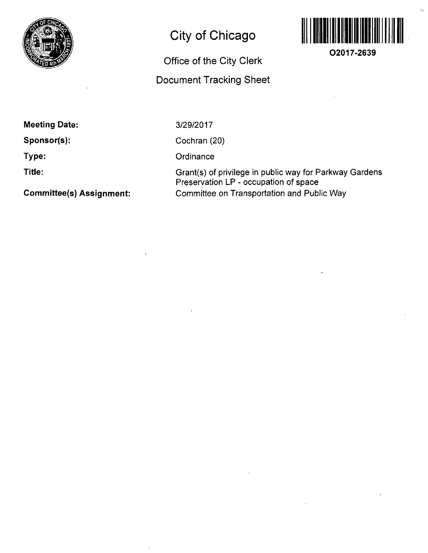

# **City of Chicago**

# **Office of the City Clerk Document Tracking Sheet**



**O2017-2639** 

**Meeting Date:** 

**Sponsor(s);** 

**Type:** 

**Title:** 

**Commlttee(s) Assignment:** 

3/29/2017

Cochran (20)

**Ordinance** 

Grant(s) of privilege in public way for Parkway Gardens Preservation LP - occupation of space Committee on Transportation and Public Way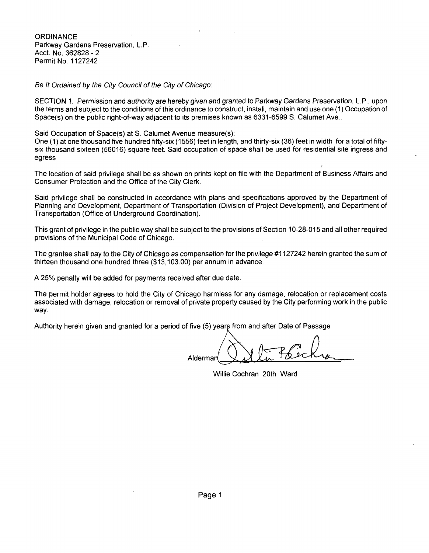**ORDINANCE** Parkway Gardens Preservation, L.P. Acct. No. 362828 - 2 Permit No. 1127242

Be It Ordained by the City Council of the City of Chicago:

SECTION 1. Permission and authority are hereby given and granted to Parkway Gardens Preservation, L.P., upon the terms and subject to the conditions ofthis ordinance to construct, install, maintain and use one (1) Occupation of Space(s) on the public right-of-way adjacent to its premises known as 6331-6599 S. Calumet Ave..

Said Occupation of Space(s) at S. Calumet Avenue measure(s):

One (1) at one thousand five hundred fifty-six (1556) feet in length, and thirty-six (36) feet in width for a total of fiftysix thousand sixteen (56016) square feet. Said occupation of space shall be used for residential site ingress and egress

The location of said privilege shall be as shown on prints kept on file with the Department of Business Affairs and Consumer Protection and the Office of the City Clerk.

Said privilege shall be constructed in accordance with plans and specifications approved by the Department of Planning and Development, Department of Transportation (Division of Project Development), and Department of Transportation (Office of Underground Coordination).

This grant of privilege in the public way shall be subject to the provisions of Section 10-28-015 and all other required provisions of the Municipal Code of Chicago.

The grantee shall pay to the City of Chicago as compensation for the privilege #1127242 herein granted the sum of thirteen thousand one hundred three (\$13,103.00) per annum in advance.

A 25% penalty will be added for payments received after due date.

The permit holder agrees to hold the City of Chicago harmless for any damage, relocation or replacement costs associated with damage, relocation or removal of private property caused by the City performing work in the public way.

Authority herein given and granted for a period of five (5) years from and after Date of Passage

Aldermar

Willie Cochran 20th Ward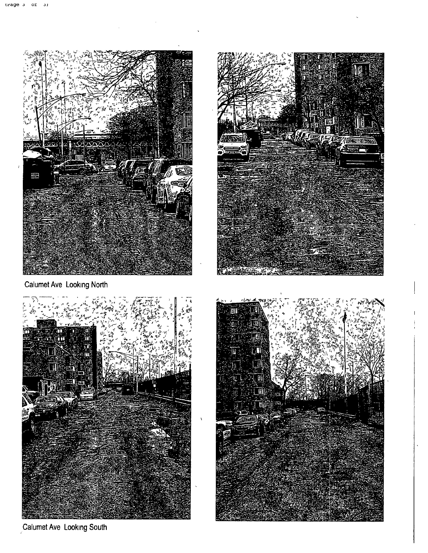

Calumet Ave Looking North



Calumet Ave Looking South